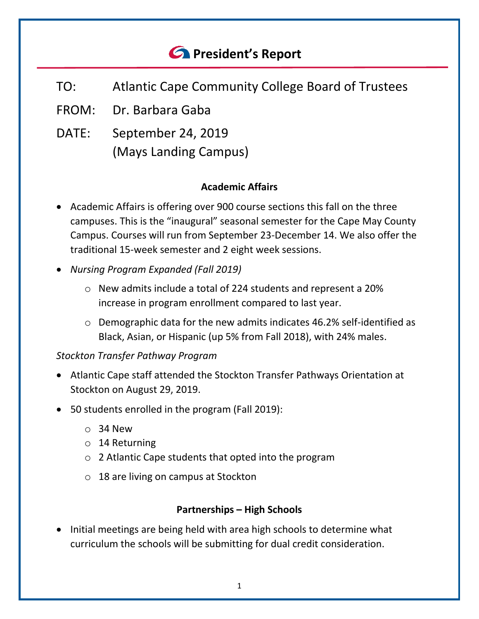# *<u>A</u>* President's Report

- TO: Atlantic Cape Community College Board of Trustees
- FROM: Dr. Barbara Gaba
- DATE: September 24, 2019 (Mays Landing Campus)

## **Academic Affairs**

- Academic Affairs is offering over 900 course sections this fall on the three campuses. This is the "inaugural" seasonal semester for the Cape May County Campus. Courses will run from September 23-December 14. We also offer the traditional 15-week semester and 2 eight week sessions.
- *Nursing Program Expanded (Fall 2019)*
	- o New admits include a total of 224 students and represent a 20% increase in program enrollment compared to last year.
	- o Demographic data for the new admits indicates 46.2% self-identified as Black, Asian, or Hispanic (up 5% from Fall 2018), with 24% males.

## *Stockton Transfer Pathway Program*

- Atlantic Cape staff attended the Stockton Transfer Pathways Orientation at Stockton on August 29, 2019.
- 50 students enrolled in the program (Fall 2019):
	- $\circ$  34 New
	- o 14 Returning
	- o 2 Atlantic Cape students that opted into the program
	- o 18 are living on campus at Stockton

#### **Partnerships – High Schools**

• Initial meetings are being held with area high schools to determine what curriculum the schools will be submitting for dual credit consideration.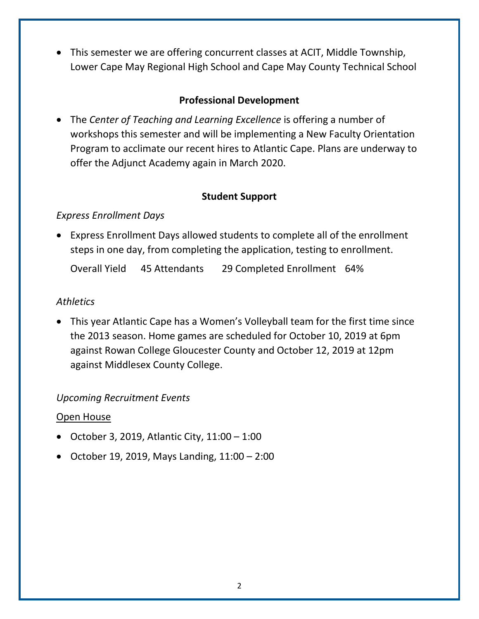• This semester we are offering concurrent classes at ACIT, Middle Township, Lower Cape May Regional High School and Cape May County Technical School

## **Professional Development**

• The *Center of Teaching and Learning Excellence* is offering a number of workshops this semester and will be implementing a New Faculty Orientation Program to acclimate our recent hires to Atlantic Cape. Plans are underway to offer the Adjunct Academy again in March 2020.

## **Student Support**

## *Express Enrollment Days*

• Express Enrollment Days allowed students to complete all of the enrollment steps in one day, from completing the application, testing to enrollment.

Overall Yield 45 Attendants 29 Completed Enrollment 64%

## *Athletics*

• This year Atlantic Cape has a Women's Volleyball team for the first time since the 2013 season. Home games are scheduled for October 10, 2019 at 6pm against Rowan College Gloucester County and October 12, 2019 at 12pm against Middlesex County College.

#### *Upcoming Recruitment Events*

#### Open House

- October 3, 2019, Atlantic City, 11:00 1:00
- October 19, 2019, Mays Landing, 11:00 2:00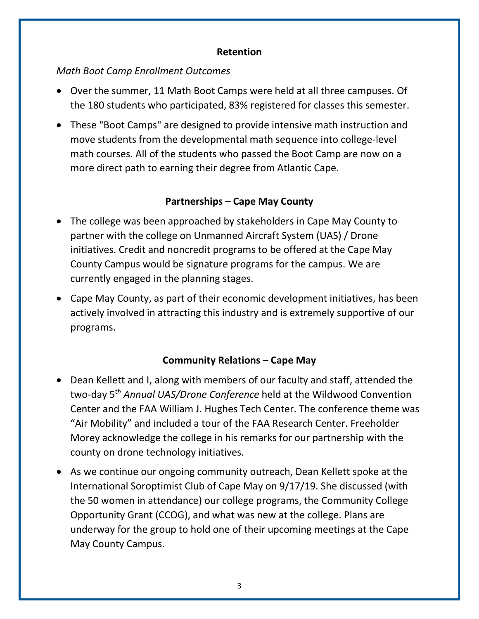### **Retention**

## *Math Boot Camp Enrollment Outcomes*

- Over the summer, 11 Math Boot Camps were held at all three campuses. Of the 180 students who participated, 83% registered for classes this semester.
- These "Boot Camps" are designed to provide intensive math instruction and move students from the developmental math sequence into college-level math courses. All of the students who passed the Boot Camp are now on a more direct path to earning their degree from Atlantic Cape.

## **Partnerships – Cape May County**

- The college was been approached by stakeholders in Cape May County to partner with the college on Unmanned Aircraft System (UAS) / Drone initiatives. Credit and noncredit programs to be offered at the Cape May County Campus would be signature programs for the campus. We are currently engaged in the planning stages.
- Cape May County, as part of their economic development initiatives, has been actively involved in attracting this industry and is extremely supportive of our programs.

## **Community Relations – Cape May**

- Dean Kellett and I, along with members of our faculty and staff, attended the two-day 5*th Annual UAS/Drone Conference* held at the Wildwood Convention Center and the FAA William J. Hughes Tech Center. The conference theme was "Air Mobility" and included a tour of the FAA Research Center. Freeholder Morey acknowledge the college in his remarks for our partnership with the county on drone technology initiatives.
- As we continue our ongoing community outreach, Dean Kellett spoke at the International Soroptimist Club of Cape May on 9/17/19. She discussed (with the 50 women in attendance) our college programs, the Community College Opportunity Grant (CCOG), and what was new at the college. Plans are underway for the group to hold one of their upcoming meetings at the Cape May County Campus.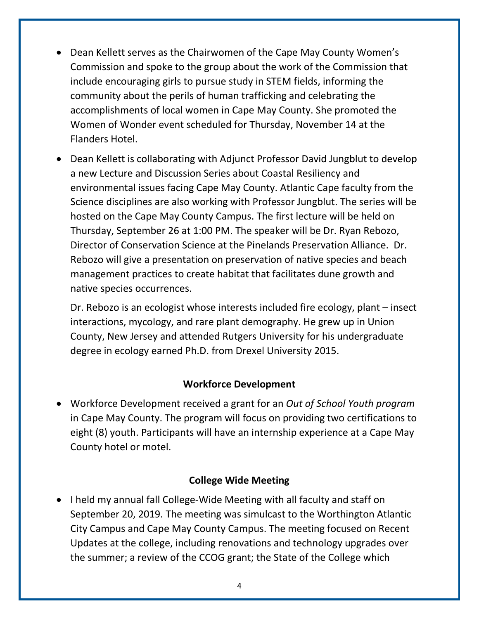- Dean Kellett serves as the Chairwomen of the Cape May County Women's Commission and spoke to the group about the work of the Commission that include encouraging girls to pursue study in STEM fields, informing the community about the perils of human trafficking and celebrating the accomplishments of local women in Cape May County. She promoted the Women of Wonder event scheduled for Thursday, November 14 at the Flanders Hotel.
- Dean Kellett is collaborating with Adjunct Professor David Jungblut to develop a new Lecture and Discussion Series about Coastal Resiliency and environmental issues facing Cape May County. Atlantic Cape faculty from the Science disciplines are also working with Professor Jungblut. The series will be hosted on the Cape May County Campus. The first lecture will be held on Thursday, September 26 at 1:00 PM. The speaker will be Dr. Ryan Rebozo, Director of Conservation Science at the Pinelands Preservation Alliance. Dr. Rebozo will give a presentation on preservation of native species and beach management practices to create habitat that facilitates dune growth and native species occurrences.

Dr. Rebozo is an ecologist whose interests included fire ecology, plant – insect interactions, mycology, and rare plant demography. He grew up in Union County, New Jersey and attended Rutgers University for his undergraduate degree in ecology earned Ph.D. from Drexel University 2015.

#### **Workforce Development**

• Workforce Development received a grant for an *Out of School Youth program* in Cape May County. The program will focus on providing two certifications to eight (8) youth. Participants will have an internship experience at a Cape May County hotel or motel.

#### **College Wide Meeting**

• I held my annual fall College-Wide Meeting with all faculty and staff on September 20, 2019. The meeting was simulcast to the Worthington Atlantic City Campus and Cape May County Campus. The meeting focused on Recent Updates at the college, including renovations and technology upgrades over the summer; a review of the CCOG grant; the State of the College which